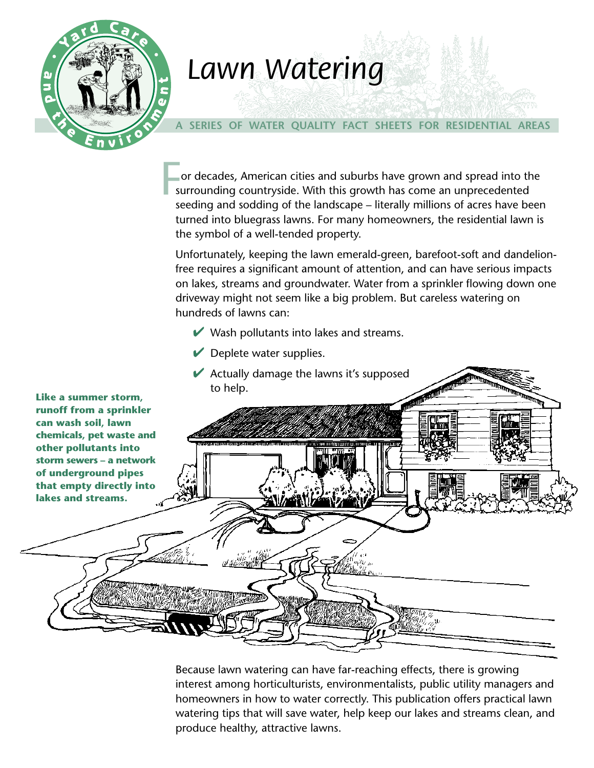

## *Lawn Watering Lawn Watering*

#### **A SERIES OF WATER QUALITY FACT SHEETS FOR RESIDENTIAL AREAS**

or decades, American cities and suburbs have grown and spread into the surrounding countryside. With this growth has come an unprecedented seeding and sodding of the landscape – literally millions of acres have been turned into bluegrass lawns. For many homeowners, the residential lawn is the symbol of a well-tended property.  $\frac{1}{\sqrt{2}}$ 

Unfortunately, keeping the lawn emerald-green, barefoot-soft and dandelionfree requires a significant amount of attention, and can have serious impacts on lakes, streams and groundwater. Water from a sprinkler flowing down one driveway might not seem like a big problem. But careless watering on hundreds of lawns can:

- $\vee$  Wash pollutants into lakes and streams.
- $\blacktriangleright$  Deplete water supplies.
- $\blacktriangleright$  Actually damage the lawns it's supposed to help.



Because lawn watering can have far-reaching effects, there is growing interest among horticulturists, environmentalists, public utility managers and homeowners in how to water correctly. This publication offers practical lawn watering tips that will save water, help keep our lakes and streams clean, and produce healthy, attractive lawns.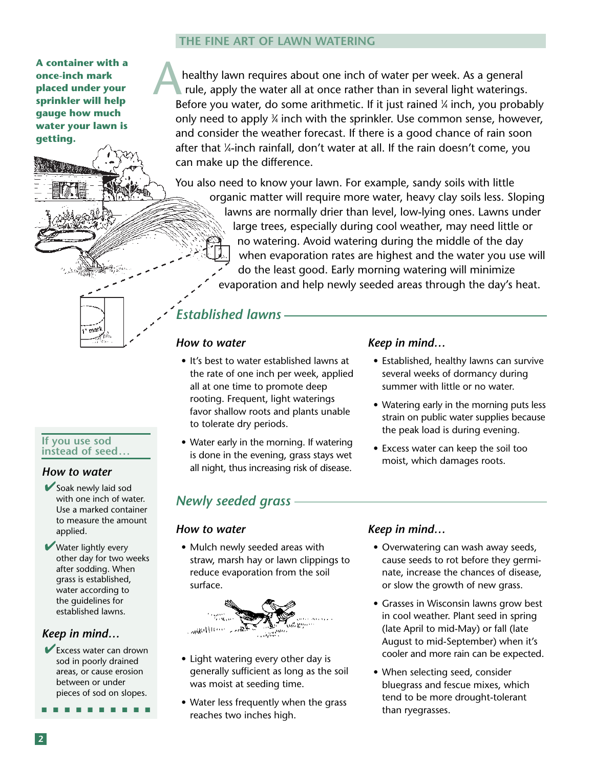#### **THE FINE ART OF LAWN WATERING**

**A container with a once-inch mark placed under your sprinkler will help gauge how much water your lawn is getting.**

healthy lawn requires about one inch of water per week. As a general rule, apply the water all at once rather than in several light waterings. Before you water, do some arithmetic. If it just rained ¼ inch, you probably only need to apply ¾ inch with the sprinkler. Use common sense, however, and consider the weather forecast. If there is a good chance of rain soon after that 1 ⁄4-inch rainfall, don't water at all. If the rain doesn't come, you can make up the difference. A

You also need to know your lawn. For example, sandy soils with little organic matter will require more water, heavy clay soils less. Sloping lawns are normally drier than level, low-lying ones. Lawns under large trees, especially during cool weather, may need little or no watering. Avoid watering during the middle of the day when evaporation rates are highest and the water you use will do the least good. Early morning watering will minimize evaporation and help newly seeded areas through the day's heat.

# marl

#### **If you use sod instead of seed . . .**

#### *How to water*

✔Soak newly laid sod with one inch of water. Use a marked container to measure the amount applied.

**■ Water lightly every** other day for two weeks after sodding. When grass is established, water according to the guidelines for established lawns.

#### *Keep in mind…*

✔Excess water can drown sod in poorly drained areas, or cause erosion between or under pieces of sod on slopes.

■ ■ ■ ■ ■ ■ ■ ■ ■ ■

## to tolerate dry periods.

*How to water*

*Established lawns*

• Water early in the morning. If watering is done in the evening, grass stays wet all night, thus increasing risk of disease.

• It's best to water established lawns at the rate of one inch per week, applied all at one time to promote deep rooting. Frequent, light waterings favor shallow roots and plants unable

#### *Keep in mind…*

- Established, healthy lawns can survive several weeks of dormancy during summer with little or no water.
- Watering early in the morning puts less strain on public water supplies because the peak load is during evening.
- Excess water can keep the soil too moist, which damages roots.

#### *Newly seeded grass*

#### *How to water*

• Mulch newly seeded areas with straw, marsh hay or lawn clippings to reduce evaporation from the soil surface.



- Light watering every other day is generally sufficient as long as the soil was moist at seeding time.
- Water less frequently when the grass reaches two inches high.

#### *Keep in mind…*

- Overwatering can wash away seeds, cause seeds to rot before they germinate, increase the chances of disease, or slow the growth of new grass.
- Grasses in Wisconsin lawns grow best in cool weather. Plant seed in spring (late April to mid-May) or fall (late August to mid-September) when it's cooler and more rain can be expected.
- When selecting seed, consider bluegrass and fescue mixes, which tend to be more drought-tolerant than ryegrasses.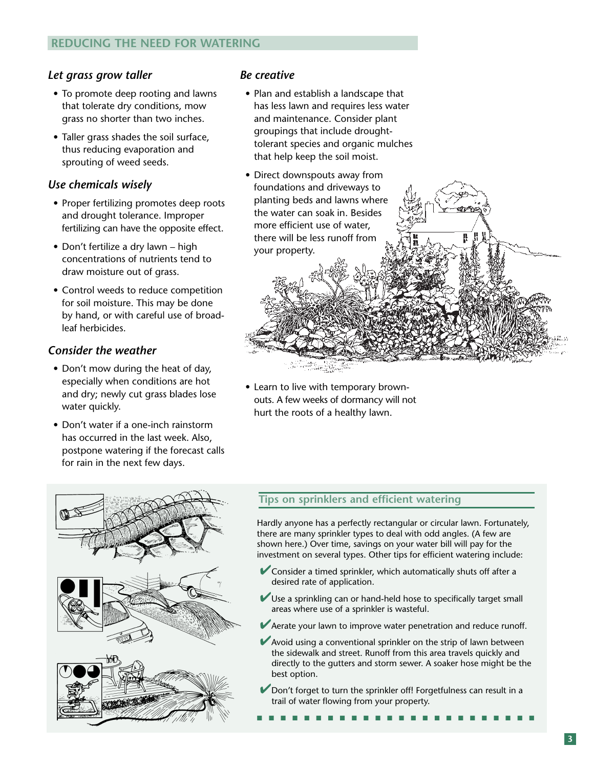#### *Let grass grow taller*

- To promote deep rooting and lawns that tolerate dry conditions, mow grass no shorter than two inches.
- Taller grass shades the soil surface, thus reducing evaporation and sprouting of weed seeds.

#### *Use chemicals wisely*

- Proper fertilizing promotes deep roots and drought tolerance. Improper fertilizing can have the opposite effect.
- Don't fertilize a dry lawn high concentrations of nutrients tend to draw moisture out of grass.
- Control weeds to reduce competition for soil moisture. This may be done by hand, or with careful use of broadleaf herbicides.

#### *Consider the weather*

- Don't mow during the heat of day, especially when conditions are hot and dry; newly cut grass blades lose water quickly.
- Don't water if a one-inch rainstorm has occurred in the last week. Also, postpone watering if the forecast calls for rain in the next few days.



#### *Be creative*

• Plan and establish a landscape that has less lawn and requires less water and maintenance. Consider plant groupings that include droughttolerant species and organic mulches that help keep the soil moist.



• Learn to live with temporary brownouts. A few weeks of dormancy will not hurt the roots of a healthy lawn.

#### **Tips on sprinklers and efficient watering**

Hardly anyone has a perfectly rectangular or circular lawn. Fortunately, there are many sprinkler types to deal with odd angles. (A few are shown here.) Over time, savings on your water bill will pay for the investment on several types. Other tips for efficient watering include:

- ✔Consider a timed sprinkler, which automatically shuts off after a desired rate of application.
- $\vee$  Use a sprinkling can or hand-held hose to specifically target small areas where use of a sprinkler is wasteful.
- ◆ Aerate your lawn to improve water penetration and reduce runoff.
- $\blacktriangleright$  Avoid using a conventional sprinkler on the strip of lawn between the sidewalk and street. Runoff from this area travels quickly and directly to the gutters and storm sewer. A soaker hose might be the best option.
- Don't forget to turn the sprinkler off! Forgetfulness can result in a trail of water flowing from your property.

■ ■ ■ ■ ■ ■ ■ ■ ■ ■ ■ ■ ■ ■ ■ ■ ■ ■ ■ ■ ■ ■ ■ ■